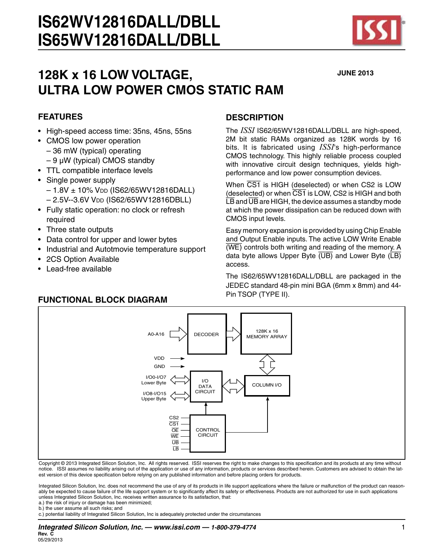# **128K x 16 LOW VOLTAGE, ULTRA LOW POWER CMOS STATIC RAM**

### **FEATURES**

- High-speed access time: 35ns, 45ns, 55ns
- CMOS low power operation
	- 36 mW (typical) operating
- $-9 \mu W$  (typical) CMOS standby
- • TTL compatible interface levels
- Single power supply
	- $-1.8V \pm 10\%$  V<sub>DD</sub> (IS62/65WV12816DALL)
	- 2.5V--3.6V VDD (IS62/65WV12816DBLL)
- Fully static operation: no clock or refresh required
- Three state outputs
- Data control for upper and lower bytes
- Industrial and Autotmovie temperature support
- 2CS Option Available
- Lead-free available

# **DESCRIPTION**

The *ISSI* IS62/65WV12816DALL/DBLL are high-speed, 2M bit static RAMs organized as 128K words by 16 bits. It is fabricated using *ISSI*'s high-performance CMOS technology. This highly reliable process coupled with innovative circuit design techniques, yields highperformance and low power consumption devices.

When  $\overline{CS1}$  is HIGH (deselected) or when  $CS2$  is LOW (deselected) or when  $\overline{CS1}$  is LOW, CS2 is HIGH and both  $\overline{LB}$  and  $\overline{UB}$  are HIGH, the device assumes a standby mode at which the power dissipation can be reduced down with CMOS input levels.

Easy memory expansion is provided by using Chip Enable and Output Enable inputs. The active LOW Write Enable  $\overline{\text{(WE)}}$  controls both writing and reading of the memory. A data byte allows Upper Byte  $\overline{(UB)}$  and Lower Byte  $\overline{(LB)}$ access.

The IS62/65WV12816DALL/DBLL are packaged in the JEDEC standard 48-pin mini BGA (6mm x 8mm) and 44- Pin TSOP (TYPE II). **FUNCTIONAL BLOCK DIAGRAM**



Copyright © 2013 Integrated Silicon Solution, Inc. All rights reserved. ISSI reserves the right to make changes to this specification and its products at any time without notice. ISSI assumes no liability arising out of the application or use of any information, products or services described herein. Customers are advised to obtain the latest version of this device specification before relying on any published information and before placing orders for products.

Integrated Silicon Solution, Inc. does not recommend the use of any of its products in life support applications where the failure or malfunction of the product can reasonably be expected to cause failure of the life support system or to significantly affect its safety or effectiveness. Products are not authorized for use in such applications unless Integrated Silicon Solution, Inc. receives written assurance to its satisfaction, that:

a.) the risk of injury or damage has been minimized; b.) the user assume all such risks; and

c.) potential liability of Integrated Silicon Solution, Inc is adequately protected under the circumstances



**JUNE 2013**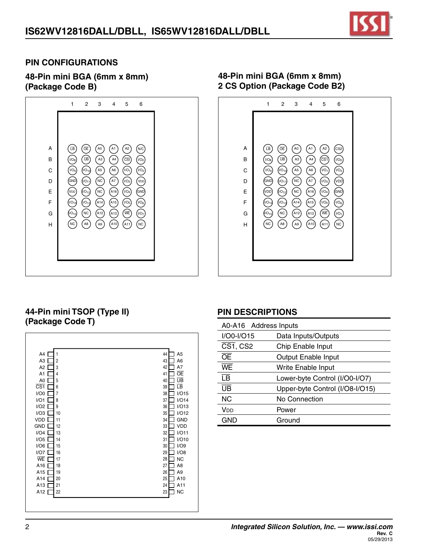

#### **PIN CONFIGURATIONS**

**48-Pin mini BGA (6mm x 8mm) (Package Code B)**



#### **48-Pin mini BGA (6mm x 8mm) 2 CS Option (Package Code B2)**



# **44-Pin mini TSOP (Type II) (Package Code T)**



#### **PIN DESCRIPTIONS**

| A0-A16 Address Inputs    |                                 |
|--------------------------|---------------------------------|
| I/O0-I/O15               | Data Inputs/Outputs             |
| $\overline{CS1}$ , CS2   | Chip Enable Input               |
| ŌĒ                       | <b>Output Enable Input</b>      |
| WE                       | Write Enable Input              |
| $\overline{\mathsf{LB}}$ | Lower-byte Control (I/O0-I/O7)  |
| UB                       | Upper-byte Control (I/O8-I/O15) |
| NC.                      | No Connection                   |
| V <sub>DD</sub>          | Power                           |
| GND                      | Ground                          |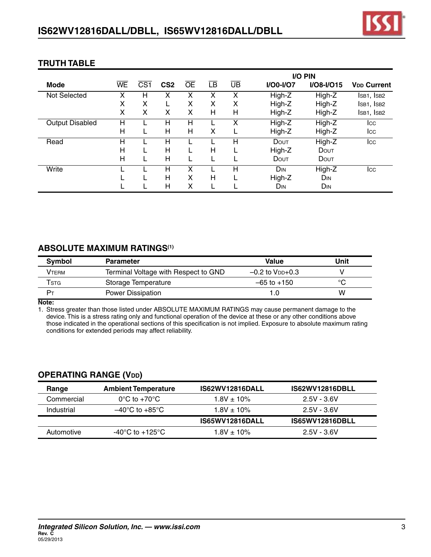

|                        |           |                 |                 |           |    |                          | <b>I/O PIN</b> |                 |                               |
|------------------------|-----------|-----------------|-----------------|-----------|----|--------------------------|----------------|-----------------|-------------------------------|
| Mode                   | <b>WE</b> | CS <sub>1</sub> | CS <sub>2</sub> | <b>OE</b> | LB | $\overline{\mathsf{UB}}$ | $I/OO-I/O7$    | $I/O8-I/O15$    | <b>V<sub>DD</sub></b> Current |
| Not Selected           |           | н               |                 | x         |    | χ                        | High-Z         | High-Z          | ISB1, ISB2                    |
|                        | X         | X               |                 | Χ         | X  | X                        | High-Z         | High-Z          | ISB1, ISB2                    |
|                        | X         | X               | X               | X         | Н  | Н                        | High-Z         | High-Z          | ISB1, ISB2                    |
| <b>Output Disabled</b> | н         |                 | н               | Н         |    | X                        | High-Z         | High-Z          | Icc                           |
|                        | н         |                 | Н               | Н         | х  |                          | High-Z         | High-Z          | Icc                           |
| Read                   | н         |                 | Н               |           |    | Н                        | DOUT           | High-Z          | Icc                           |
|                        | Н         |                 | н               |           | Н  |                          | High-Z         | DOUT            |                               |
|                        | н         |                 | Н               |           |    |                          | DOUT           | DOUT            |                               |
| Write                  |           |                 | н               | χ         |    | Н                        | DIN            | High-Z          | Icc                           |
|                        |           |                 | н               | x         | Н  |                          | High-Z         | D <sub>IN</sub> |                               |
|                        |           |                 | Н               | Χ         |    |                          | DIN            | D <sub>IN</sub> |                               |

# **TRUTH TABLE**

#### **ABSOLUTE MAXIMUM RATINGS(1)**

| Symbol | <b>Parameter</b>                     | <b>Value</b>           | Unit |
|--------|--------------------------------------|------------------------|------|
| Vтевм  | Terminal Voltage with Respect to GND | $-0.2$ to $V_{DD}+0.3$ |      |
| Tstg   | Storage Temperature                  | $-65$ to $+150$        |      |
| Pт     | <b>Power Dissipation</b>             |                        | w    |

**Note:**

1. Stress greater than those listed under ABSOLUTE MAXIMUM RATINGS may cause permanent damage to the device. This is a stress rating only and functional operation of the device at these or any other conditions above those indicated in the operational sections of this specification is not implied. Exposure to absolute maximum rating conditions for extended periods may affect reliability.

# **OPERATING RANGE (Vdd)**

| Range      | <b>Ambient Temperature</b>            | IS62WV12816DALL        | IS62WV12816DBLL        |
|------------|---------------------------------------|------------------------|------------------------|
| Commercial | $0^{\circ}$ C to +70 $^{\circ}$ C     | $1.8V \pm 10\%$        | $2.5V - 3.6V$          |
| Industrial | $-40^{\circ}$ C to $+85^{\circ}$ C    | $1.8V + 10\%$          | $2.5V - 3.6V$          |
|            |                                       | <b>IS65WV12816DALL</b> | <b>IS65WV12816DBLL</b> |
| Automotive | -40 $^{\circ}$ C to +125 $^{\circ}$ C | $1.8V + 10\%$          | $2.5V - 3.6V$          |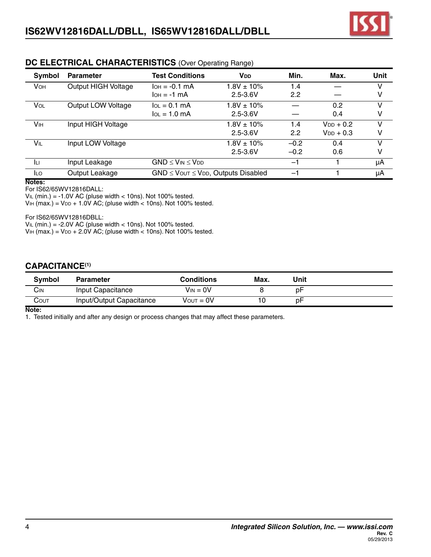

| Symbol                | <b>Parameter</b>    | <b>Test Conditions</b>                         | <b>V</b> <sub>DD</sub> | Min.   | Max.           | <b>Unit</b> |
|-----------------------|---------------------|------------------------------------------------|------------------------|--------|----------------|-------------|
| <b>VOH</b>            | Output HIGH Voltage | $I$ OH = $-0.1$ mA                             | $1.8V \pm 10\%$        | 1.4    |                | v           |
|                       |                     | $I$ OH = $-1$ mA                               | $2.5 - 3.6V$           | 2.2    |                | ٧           |
| VOL                   | Output LOW Voltage  | $IOL = 0.1 mA$                                 | $1.8V \pm 10\%$        |        | 0.2            | v           |
|                       |                     | $IOL = 1.0 mA$                                 | $2.5 - 3.6V$           |        | 0.4            | v           |
| <b>V<sub>IH</sub></b> | Input HIGH Voltage  |                                                | $1.8V \pm 10\%$        | 1.4    | $V_{DD}$ + 0.2 | v           |
|                       |                     |                                                | $2.5 - 3.6V$           | 2.2    | $V_{DD}$ + 0.3 | v           |
| VIL                   | Input LOW Voltage   |                                                | $1.8V \pm 10\%$        | $-0.2$ | 0.4            | v           |
|                       |                     |                                                | $2.5 - 3.6V$           | $-0.2$ | 0.6            | v           |
| -lu                   | Input Leakage       | $GND \leq V_{IN} \leq V_{DD}$                  |                        | $-1$   |                | μA          |
| <b>ILO</b>            | Output Leakage      | $GND \leq V$ OUT $\leq VDD$ , Outputs Disabled |                        | -1     |                | μA          |

#### **DC ELECTRICAL CHARACTERISTICS** (Over Operating Range)

**Notes:**

For IS62/65WV12816DALL:

 $V_{IL}$  (min.) = -1.0V AC (pluse width < 10ns). Not 100% tested.

 $V_{HH}$  (max.) =  $V_{DD}$  + 1.0V AC; (pluse width < 10ns). Not 100% tested.

For IS62/65WV12816DBLL:

 $V_{IL}$  (min.) = -2.0V AC (pluse width < 10ns). Not 100% tested.  $V_{HH}$  (max.) =  $V_{DD}$  + 2.0V AC; (pluse width < 10ns). Not 100% tested.

#### **CAPACITANCE(1)**

| <b>Symbol</b> | <b>Parameter</b>         | Conditions     | Max. | Unit |  |
|---------------|--------------------------|----------------|------|------|--|
| Cın           | Input Capacitance        | $V_{IN} = 0V$  |      | рF   |  |
| COUT          | Input/Output Capacitance | $V$ OUT = $0V$ |      | рF   |  |

**Note:**

1. Tested initially and after any design or process changes that may affect these parameters.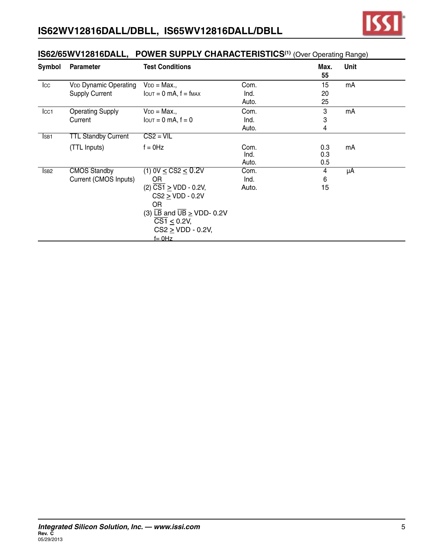

| <b>Symbol</b>    | Parameter                    | <b>Test Conditions</b>                                        |       | Max.<br>55 | <b>Unit</b> |
|------------------|------------------------------|---------------------------------------------------------------|-------|------------|-------------|
| $_{\text{loc}}$  | <b>VDD Dynamic Operating</b> | $V_{DD} = Max.,$                                              | Com.  | 15         | mA          |
|                  | <b>Supply Current</b>        | $I$ $OUT = 0$ mA, $f = f$ $MAX$                               | Ind.  | 20         |             |
|                  |                              |                                                               | Auto. | 25         |             |
| Icc <sub>1</sub> | <b>Operating Supply</b>      | $V_{DD} = Max.$                                               | Com.  | 3          | mA          |
|                  | Current                      | $I$ out = 0 mA, $f = 0$                                       | Ind.  | 3          |             |
|                  |                              |                                                               | Auto. | 4          |             |
| ISB <sub>1</sub> | <b>TTL Standby Current</b>   | $CS2 = VIL$                                                   |       |            |             |
|                  | (TTL Inputs)                 | $f = 0$ Hz                                                    | Com.  | 0.3        | mA          |
|                  |                              |                                                               | Ind.  | 0.3        |             |
|                  |                              |                                                               | Auto. | 0.5        |             |
| ISB <sub>2</sub> | <b>CMOS Standby</b>          | (1) OV $\leq$ CS2 $\leq$ 0.2V                                 | Com.  | 4          | μA          |
|                  | Current (CMOS Inputs)        | <b>OR</b>                                                     | Ind.  | $\,6$      |             |
|                  |                              | $(2)\ \overline{CS1} \geq VDD - 0.2V,$                        | Auto. | 15         |             |
|                  |                              | $CS2 \geq VDD - 0.2V$                                         |       |            |             |
|                  |                              | OR.                                                           |       |            |             |
|                  |                              | (3) $\overline{LB}$ and $\overline{UB} \geq \text{VDD- 0.2V}$ |       |            |             |
|                  |                              | $\overline{CS1} \leq 0.2V$ ,                                  |       |            |             |
|                  |                              | $CS2 > VDD - 0.2V$                                            |       |            |             |
|                  |                              | $f = 0$ Hz                                                    |       |            |             |

#### **IS62/65WV12816DALL, POWER SUPPLY CHARACTERISTICS(1)** (Over Operating Range)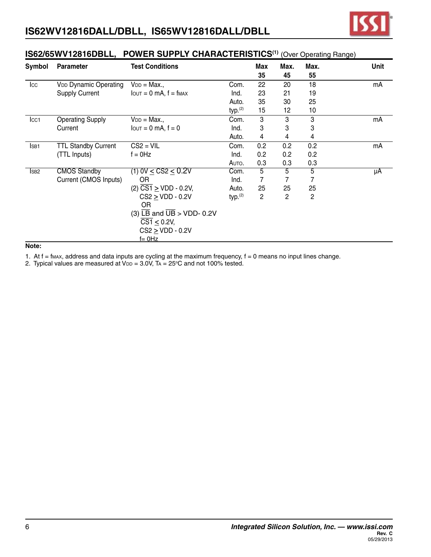

| Symbol           | <b>Parameter</b>             | <b>Test Conditions</b>                              |                     | <b>Max</b><br>35 | Max.<br>45     | Max.<br>55     | Unit |
|------------------|------------------------------|-----------------------------------------------------|---------------------|------------------|----------------|----------------|------|
| $_{\rm lcc}$     | <b>VDD Dynamic Operating</b> | $V_{DD} = Max.,$                                    | Com.                | 22               | 20             | 18             | mA   |
|                  | <b>Supply Current</b>        | $I$ $OUT = 0$ mA, $f = f$ $MAX$                     | Ind.                | 23               | 21             | 19             |      |
|                  |                              |                                                     | Auto.               | 35               | 30             | 25             |      |
|                  |                              |                                                     | typ. <sup>(2)</sup> | 15               | 12             | 10             |      |
| Icc1             | <b>Operating Supply</b>      | $V_{DD} = Max.,$                                    | Com.                | 3                | 3              | 3              | mA   |
|                  | Current                      | $I$ out = 0 mA, $f = 0$                             | Ind.                | 3                | 3              | 3              |      |
|                  |                              |                                                     | Auto.               | 4                | 4              | 4              |      |
| ISB <sub>1</sub> | <b>TTL Standby Current</b>   | $CS2 = VIL$                                         | Com.                | 0.2              | 0.2            | 0.2            | mA   |
|                  | (TTL Inputs)                 | $f = 0$ Hz                                          | Ind.                | 0.2              | 0.2            | 0.2            |      |
|                  |                              |                                                     | AUTO.               | 0.3              | 0.3            | 0.3            |      |
| ISB <sub>2</sub> | <b>CMOS Standby</b>          | (1) OV $\leq$ CS2 $\leq$ 0.2V                       | Com.                | 5                | 5              | 5              | μA   |
|                  | Current (CMOS Inputs)        | <b>OR</b>                                           | Ind.                | 7                | 7              | 7              |      |
|                  |                              | $(2)$ CS1 $\geq$ VDD - 0.2V,                        | Auto.               | 25               | 25             | 25             |      |
|                  |                              | $CS2 > VDD - 0.2V$                                  | typ. <sup>(2)</sup> | $\overline{c}$   | $\overline{2}$ | $\overline{c}$ |      |
|                  |                              | 0R                                                  |                     |                  |                |                |      |
|                  |                              | (3) $\overline{LB}$ and $\overline{UB}$ > VDD- 0.2V |                     |                  |                |                |      |
|                  |                              | $\overline{\text{CS1}} \leq 0.2\text{V}$ ,          |                     |                  |                |                |      |
|                  |                              | $CS2 \ge VDD - 0.2V$                                |                     |                  |                |                |      |
|                  |                              | <u>f= 0Hz</u>                                       |                     |                  |                |                |      |

# **IS62/65WV12816DBLL, POWER SUPPLY CHARACTERISTICS(1)** (Over Operating Range)

**Note:**

1. At f = fmax, address and data inputs are cycling at the maximum frequency, f = 0 means no input lines change.

2. Typical values are measured at  $V_{DD} = 3.0V$ , TA = 25°C and not 100% tested.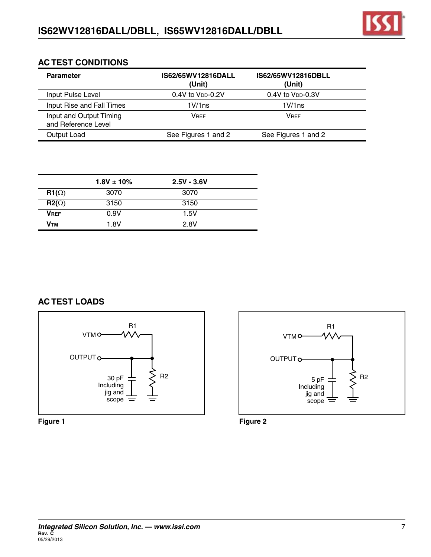

#### **AC TEST CONDITIONS**

| <b>Parameter</b>                               | IS62/65WV12816DALL<br>(Unit)    | IS62/65WV12816DBLL<br>(Unit)    |
|------------------------------------------------|---------------------------------|---------------------------------|
| Input Pulse Level                              | $0.4V$ to $V_{DD}$ -0.2V        | $0.4V$ to $V_{DD}$ -0.3V        |
| Input Rise and Fall Times                      | 1 <sub>V</sub> /1 <sub>ns</sub> | 1 <sub>V</sub> /1 <sub>ns</sub> |
| Input and Output Timing<br>and Reference Level | VRFF                            | <b>VRFF</b>                     |
| Output Load                                    | See Figures 1 and 2             | See Figures 1 and 2             |

|              | $1.8V \pm 10\%$ | $2.5V - 3.6V$ |  |
|--------------|-----------------|---------------|--|
| $R1(\Omega)$ | 3070            | 3070          |  |
| $R2(\Omega)$ | 3150            | 3150          |  |
| <b>VREF</b>  | 0.9V            | 1.5V          |  |
| Ѵтм          | 1.8V            | 2.8V          |  |

# **AC TEST LOADS**





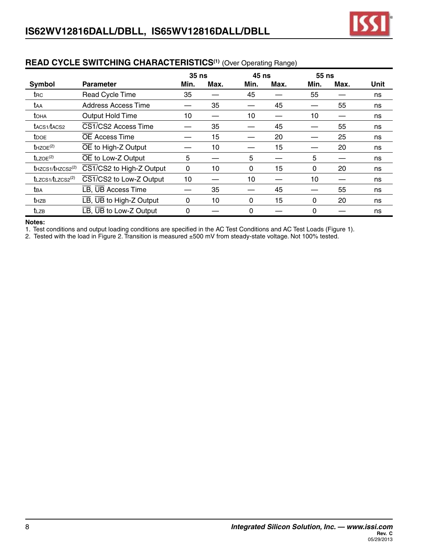|                                     |                                                    | 35 <sub>ns</sub> |      | <b>45 ns</b> |                  | 55 ns |      |      |
|-------------------------------------|----------------------------------------------------|------------------|------|--------------|------------------|-------|------|------|
| Symbol                              | <b>Parameter</b>                                   | Min.             | Max. | Min.         | Max.             | Min.  | Max. | Unit |
| t <sub>RC</sub>                     | <b>Read Cycle Time</b>                             | 35               |      | 45           |                  | 55    |      | ns   |
| taa                                 | Address Access Time                                |                  | 35   |              | 45               |       | 55   | ns   |
| toha                                | <b>Output Hold Time</b>                            | 10               |      | 10           |                  | 10    |      | ns   |
| tacs1/tacs2                         | CS1/CS2 Access Time                                |                  | 35   |              | 45               |       | 55   | ns   |
| <b>t</b> <sub>DOE</sub>             | <b>OE Access Time</b>                              |                  | 15   |              | 20               |       | 25   | ns   |
| $t$ HZOE $(2)$                      | OE to High-Z Output                                |                  | 10   |              | 15               |       | 20   | ns   |
| $t$ LZOE <sup>(2)</sup>             | OE to Low-Z Output                                 | 5                |      | 5            |                  | 5     |      | ns   |
| $t$ HZCS1/ $t$ HZCS2 <sup>(2)</sup> | CS1/CS2 to High-Z Output                           | 0                | 10   | 0            | 15 <sub>15</sub> | 0     | 20   | ns   |
| $t$ LZCS1/ $t$ LZCS2 <sup>(2)</sup> | CS1/CS2 to Low-Z Output                            | 10               |      | 10           |                  | 10    |      | ns   |
| t <sub>BA</sub>                     | LB, UB Access Time                                 |                  | 35   |              | 45               |       | 55   | ns   |
| thzB                                | $\overline{LB}$ , $\overline{UB}$ to High-Z Output | 0                | 10   | 0            | 15               | 0     | 20   | ns   |
| tlzb                                | $\overline{LB}$ , $\overline{UB}$ to Low-Z Output  | $\Omega$         |      | $\Omega$     |                  | 0     |      | ns   |

#### **READ CYCLE SWITCHING CHARACTERISTICS(1)** (Over Operating Range)

#### **Notes:**

1. Test conditions and output loading conditions are specified in the AC Test Conditions and AC Test Loads (Figure 1).

2. Tested with the load in Figure 2. Transition is measured ±500 mV from steady-state voltage. Not 100% tested.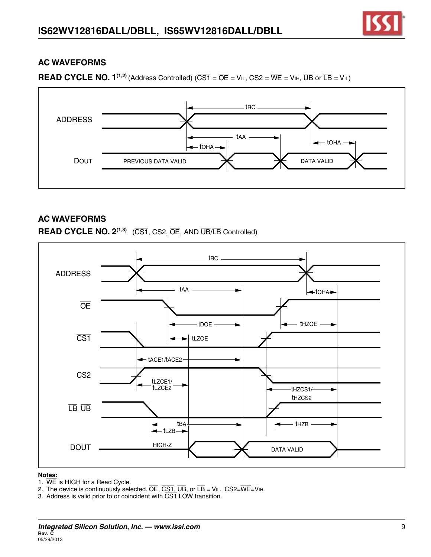#### **READ CYCLE NO. 1<sup>(1,2)</sup>** (Address Controlled) ( $\overline{CS1} = \overline{OE} = VIL$ ,  $CS2 = \overline{WE} = VIH$ ,  $\overline{UB}$  or  $\overline{LB} = VIL$ )



# **AC WAVEFORMS**

**READ CYCLE NO. 2(1,3)** (CS1, CS2, OE, AND UB/LB Controlled)



#### **Notes:**

- 1. WE is HIGH for a Read Cycle.
- 2. The device is continuously selected.  $\overline{OE}$ ,  $\overline{CS1}$ ,  $\overline{UB}$ , or  $\overline{LB}$  = VIL. CS2= $\overline{WE}$ =VIH.
- 3. Address is valid prior to or coincident with  $\overline{\text{CS1}}$  LOW transition.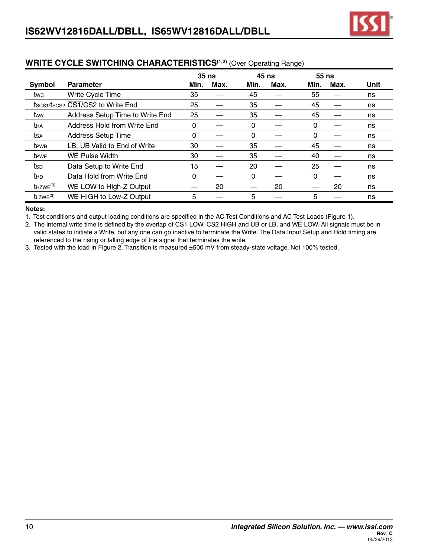|                   |                                  | 35 <sub>ns</sub> |      | <b>45 ns</b> |      | 55 ns |      |      |
|-------------------|----------------------------------|------------------|------|--------------|------|-------|------|------|
| Symbol            | <b>Parameter</b>                 | Min.             | Max. | Min.         | Max. | Min.  | Max. | Unit |
| twc               | Write Cycle Time                 | 35               |      | 45           |      | 55    |      | ns   |
|                   | tscs1/tscs2 CS1/CS2 to Write End | 25               |      | 35           |      | 45    |      | ns   |
| t <sub>AW</sub>   | Address Setup Time to Write End  | 25               |      | 35           |      | 45    |      | ns   |
| tha               | Address Hold from Write End      | 0                |      | 0            |      | 0     |      | ns   |
| tsa               | <b>Address Setup Time</b>        | 0                |      | 0            |      | 0     |      | ns   |
| t <sub>PWB</sub>  | LB, UB Valid to End of Write     | 30               |      | 35           |      | 45    |      | ns   |
| t <sub>PWE</sub>  | <b>WE Pulse Width</b>            | 30               |      | 35           |      | 40    |      | ns   |
| tsp               | Data Setup to Write End          | 15               |      | 20           |      | 25    |      | ns   |
| thd               | Data Hold from Write End         | 0                |      | 0            |      | 0     |      | ns   |
| $t$ HZWE $^{(3)}$ | WE LOW to High-Z Output          |                  | 20   |              | 20   |       | 20   | ns   |
| $t$ LZWE $(3)$    | WE HIGH to Low-Z Output          | 5                |      | 5            |      | 5     |      | ns   |

#### **WRITE CYCLE SWITCHING CHARACTERISTICS(1,2)** (Over Operating Range)

#### **Notes:**

1. Test conditions and output loading conditions are specified in the AC Test Conditions and AC Test Loads (Figure 1).

2. The internal write time is defined by the overlap of  $\overline{CS1}$  LOW, CS2 HIGH and  $\overline{UB}$  or  $\overline{LB}$ , and  $\overline{WE}$  LOW. All signals must be in valid states to initiate a Write, but any one can go inactive to terminate the Write. The Data Input Setup and Hold timing are referenced to the rising or falling edge of the signal that terminates the write.

3. Tested with the load in Figure 2. Transition is measured ±500 mV from steady-state voltage. Not 100% tested.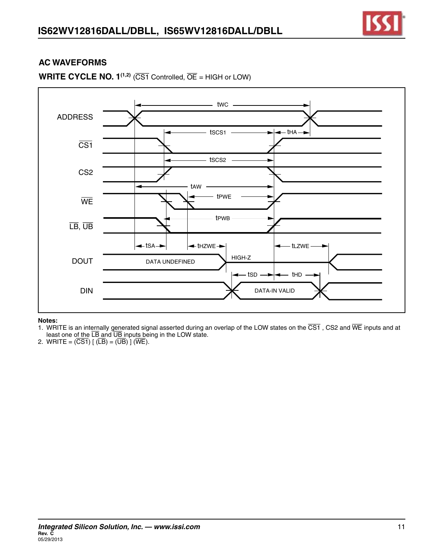

#### **WRITE CYCLE NO.**  $1^{(1,2)}$  **(CS1 Controlled,**  $\overline{OE}$  **= HIGH or LOW)**



#### **Notes:**

- 1. WRITE is an internally generated signal asserted during an overlap of the LOW states on the  $\overline{CS1}$  , CS2 and  $\overline{WE}$  inputs and at least one of the LB and UB inputs being in the LOW state.
- 2. WRITE =  $(\overline{CS1})$  [  $(\overline{LB}) = (\overline{UB})$  ] (WE).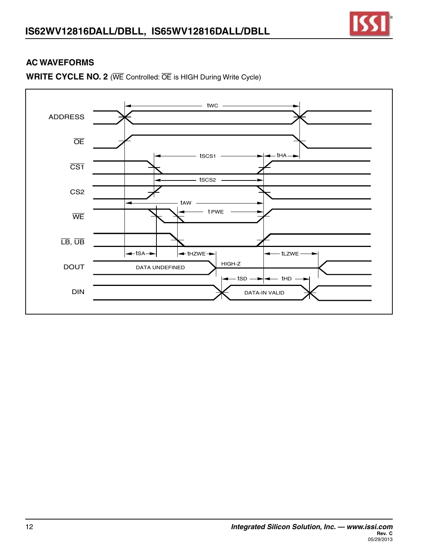



**WRITE CYCLE NO. 2** (WE Controlled: OE is HIGH During Write Cycle)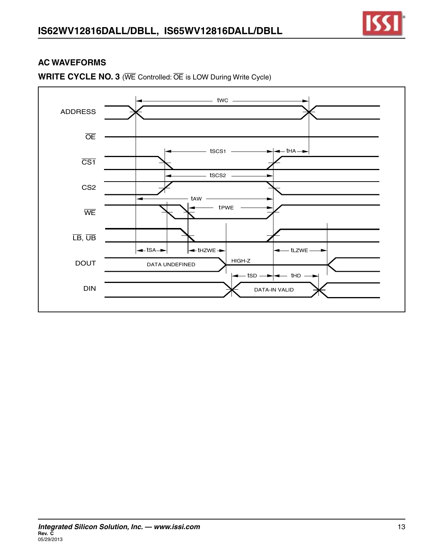

**WRITE CYCLE NO. 3** (WE Controlled: OE is LOW During Write Cycle)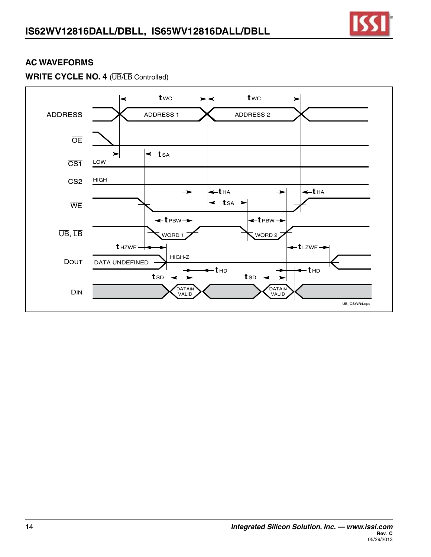

# **WRITE CYCLE NO. 4** (UB/LB Controlled)

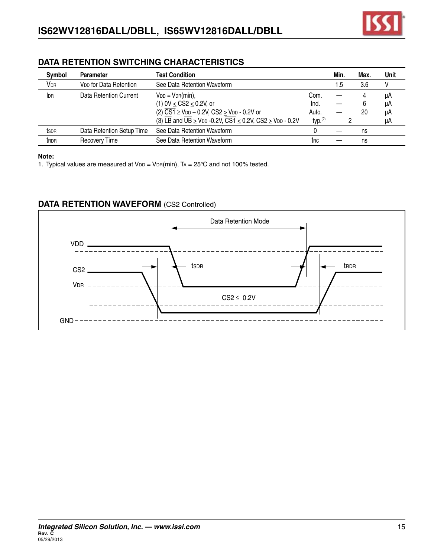

#### **DATA RETENTION SWITCHING CHARACTERISTICS**

| Symbol                 | <b>Parameter</b>                   | <b>Test Condition</b>                                                                                                                 |                     | Min.   | Max. | Unit |
|------------------------|------------------------------------|---------------------------------------------------------------------------------------------------------------------------------------|---------------------|--------|------|------|
| <b>V</b> <sub>DR</sub> | V <sub>DD</sub> for Data Retention | See Data Retention Waveform                                                                                                           |                     | ا 5. ا | 3.6  |      |
| <b>IDR</b>             | Data Retention Current             | $V_{DD} = V_{DR}(min)$ ,                                                                                                              | Com.                |        | 4    | uA   |
|                        |                                    | (1) 0V $\leq$ CS2 $\leq$ 0.2V, or                                                                                                     | Ind.                |        | 6    | μA   |
|                        |                                    | $(2)\ \overline{CS1} \geq$ V <sub>DD</sub> – 0.2V, CS2 $\geq$ V <sub>DD</sub> - 0.2V or                                               | Auto.               |        | 20   | uA   |
|                        |                                    | (3) $\overline{LB}$ and $\overline{UB}$ $\geq$ V <sub>DD</sub> -0.2V, $\overline{CS1}$ $\leq$ 0.2V, CS2 $\geq$ V <sub>DD</sub> - 0.2V | typ. <sup>(2)</sup> |        |      | μA   |
| tsdr                   | Data Retention Setup Time          | See Data Retention Waveform                                                                                                           |                     |        | ns   |      |
| t <sub>RDR</sub>       | <b>Recovery Time</b>               | See Data Retention Waveform                                                                                                           | t <sub>RC</sub>     |        | ns   |      |

#### **Note:**

1. Typical values are measured at  $V_{DD} = V_{DR}(min)$ , TA = 25°C and not 100% tested.

#### **DATA RETENTION WAVEFORM** (CS2 Controlled)

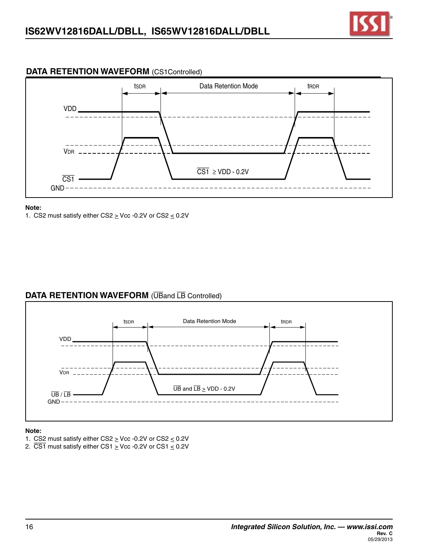

#### **DATA RETENTION WAVEFORM** (CS1Controlled)



#### **Note:**

1. CS2 must satisfy either CS2  $\geq$  Vcc -0.2V or CS2  $\leq$  0.2V

#### **DATA RETENTION WAVEFORM** (UBand LB Controlled)



#### **Note:**

- 1. CS2 must satisfy either CS2  $\geq$  Vcc -0.2V or CS2  $\leq$  0.2V
- 2.  $\overline{CS1}$  must satisfy either CS1  $\geq$  Vcc -0.2V or CS1  $\leq$  0.2V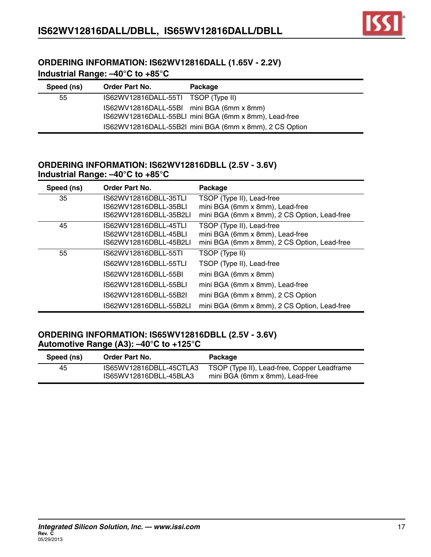

#### **ORDERING INFORMATION: IS62WV12816DALL (1.65V - 2.2V) Industrial Range: –40°C to +85°C**

| Speed (ns) | <b>Order Part No.</b>                     | Package                                                 |
|------------|-------------------------------------------|---------------------------------------------------------|
| 55         | IS62WV12816DALL-55TI TSOP (Type II)       |                                                         |
|            | IS62WV12816DALL-55BI mini BGA (6mm x 8mm) |                                                         |
|            |                                           | IS62WV12816DALL-55BLI mini BGA (6mm x 8mm), Lead-free   |
|            |                                           | IS62WV12816DALL-55B2I mini BGA (6mm x 8mm), 2 CS Option |

#### **ORDERING INFORMATION: IS62WV12816DBLL (2.5V - 3.6V) Industrial Range: –40°C to +85°C**

| Speed (ns) | Order Part No.         | Package                                      |
|------------|------------------------|----------------------------------------------|
| 35         | IS62WV12816DBLL-35TLI  | TSOP (Type II), Lead-free                    |
|            | IS62WV12816DBLL-35BLI  | mini BGA (6mm x 8mm), Lead-free              |
|            | IS62WV12816DBLL-35B2LL | mini BGA (6mm x 8mm), 2 CS Option, Lead-free |
| 45         | IS62WV12816DBLL-45TLI  | TSOP (Type II), Lead-free                    |
|            | IS62WV12816DBLL-45BLI  | mini BGA (6mm x 8mm), Lead-free              |
|            | IS62WV12816DBLL-45B2LI | mini BGA (6mm x 8mm), 2 CS Option, Lead-free |
| 55         | IS62WV12816DBLL-55TI   | TSOP (Type II)                               |
|            | IS62WV12816DBLL-55TLI  | TSOP (Type II), Lead-free                    |
|            | IS62WV12816DBLL-55BI   | mini BGA (6mm x 8mm)                         |
|            | IS62WV12816DBLL-55BLI  | mini BGA (6mm x 8mm), Lead-free              |
|            | IS62WV12816DBLL-55B2I  | mini BGA (6mm x 8mm), 2 CS Option            |
|            | IS62WV12816DBLL-55B2LI | mini BGA (6mm x 8mm), 2 CS Option, Lead-free |

#### **ORDERING INFORMATION: IS65WV12816DBLL (2.5V - 3.6V) Automotive Range (A3): –40°C to +125°C**

| Speed (ns) | <b>Order Part No.</b>                             | Package                                                                        |
|------------|---------------------------------------------------|--------------------------------------------------------------------------------|
| 45         | IS65WV12816DBLL-45CTLA3<br>IS65WV12816DBLL-45BLA3 | TSOP (Type II), Lead-free, Copper Leadframe<br>mini BGA (6mm x 8mm), Lead-free |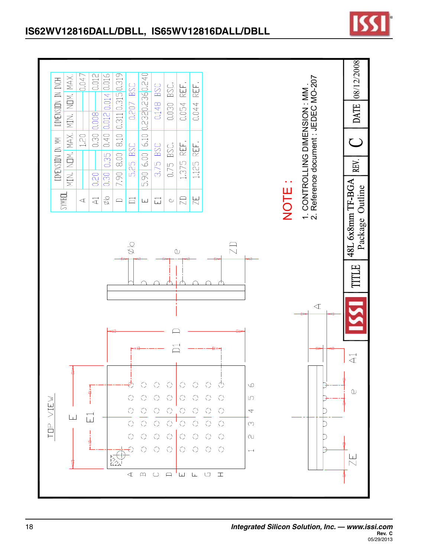